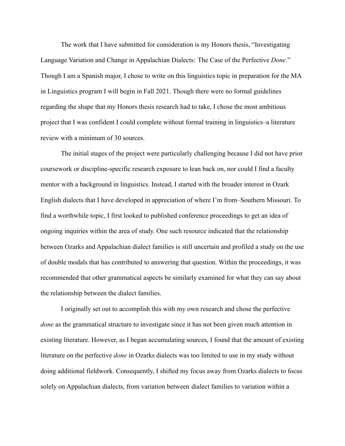The work that I have submitted for consideration is my Honors thesis, "Investigating Language Variation and Change in Appalachian Dialects: The Case of the Perfective *Done*." Though I am a Spanish major, I chose to write on this linguistics topic in preparation for the MA in Linguistics program I will begin in Fall 2021. Though there were no formal guidelines regarding the shape that my Honors thesis research had to take, I chose the most ambitious project that I was confident I could complete without formal training in linguistics–a literature review with a minimum of 30 sources.

The initial stages of the project were particularly challenging because I did not have prior coursework or discipline-specific research exposure to lean back on, nor could I find a faculty mentor with a background in linguistics. Instead, I started with the broader interest in Ozark English dialects that I have developed in appreciation of where I'm from–Southern Missouri. To find a worthwhile topic, I first looked to published conference proceedings to get an idea of ongoing inquiries within the area of study. One such resource indicated that the relationship between Ozarks and Appalachian dialect families is still uncertain and profiled a study on the use of double modals that has contributed to answering that question. Within the proceedings, it was recommended that other grammatical aspects be similarly examined for what they can say about the relationship between the dialect families.

I originally set out to accomplish this with my own research and chose the perfective *done* as the grammatical structure to investigate since it has not been given much attention in existing literature. However, as I began accumulating sources, I found that the amount of existing literature on the perfective *done* in Ozarks dialects was too limited to use in my study without doing additional fieldwork. Consequently, I shifted my focus away from Ozarks dialects to focus solely on Appalachian dialects, from variation between dialect families to variation within a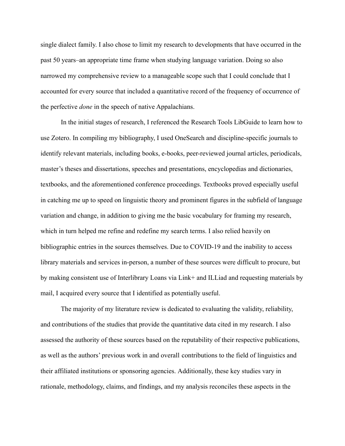single dialect family. I also chose to limit my research to developments that have occurred in the past 50 years–an appropriate time frame when studying language variation. Doing so also narrowed my comprehensive review to a manageable scope such that I could conclude that I accounted for every source that included a quantitative record of the frequency of occurrence of the perfective *done* in the speech of native Appalachians.

In the initial stages of research, I referenced the Research Tools LibGuide to learn how to use Zotero. In compiling my bibliography, I used OneSearch and discipline-specific journals to identify relevant materials, including books, e-books, peer-reviewed journal articles, periodicals, master's theses and dissertations, speeches and presentations, encyclopedias and dictionaries, textbooks, and the aforementioned conference proceedings. Textbooks proved especially useful in catching me up to speed on linguistic theory and prominent figures in the subfield of language variation and change, in addition to giving me the basic vocabulary for framing my research, which in turn helped me refine and redefine my search terms. I also relied heavily on bibliographic entries in the sources themselves. Due to COVID-19 and the inability to access library materials and services in-person, a number of these sources were difficult to procure, but by making consistent use of Interlibrary Loans via Link+ and ILLiad and requesting materials by mail, I acquired every source that I identified as potentially useful.

The majority of my literature review is dedicated to evaluating the validity, reliability, and contributions of the studies that provide the quantitative data cited in my research. I also assessed the authority of these sources based on the reputability of their respective publications, as well as the authors' previous work in and overall contributions to the field of linguistics and their affiliated institutions or sponsoring agencies. Additionally, these key studies vary in rationale, methodology, claims, and findings, and my analysis reconciles these aspects in the